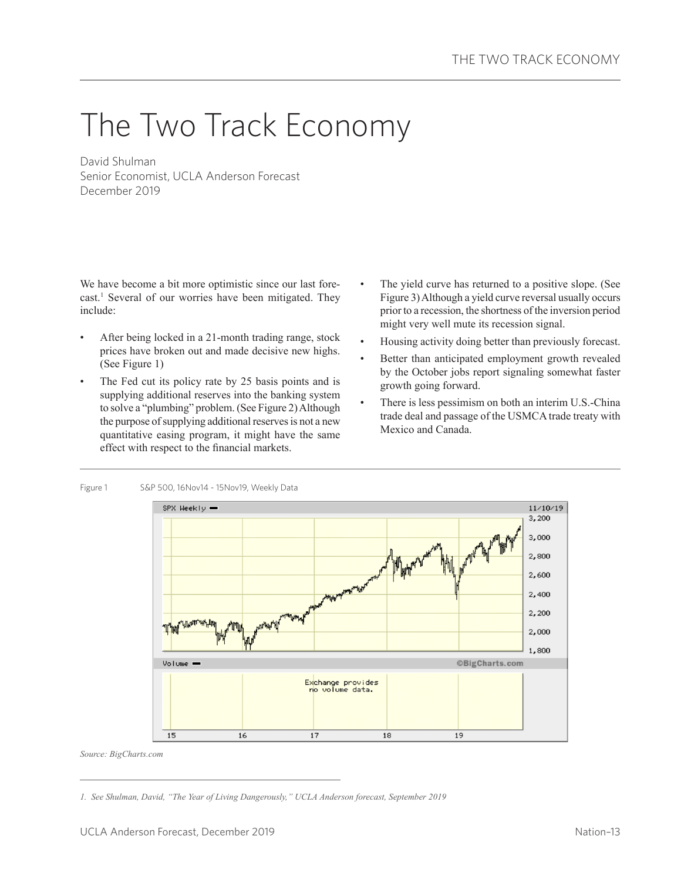# The Two Track Economy

David Shulman Senior Economist, UCLA Anderson Forecast December 2019

We have become a bit more optimistic since our last forecast.<sup>1</sup> Several of our worries have been mitigated. They include:

- After being locked in a 21-month trading range, stock prices have broken out and made decisive new highs. (See Figure 1)
- The Fed cut its policy rate by 25 basis points and is supplying additional reserves into the banking system to solve a "plumbing" problem. (See Figure 2) Although the purpose of supplying additional reserves is not a new quantitative easing program, it might have the same effect with respect to the financial markets.
- The yield curve has returned to a positive slope. (See Figure 3) Although a yield curve reversal usually occurs prior to a recession, the shortness of the inversion period might very well mute its recession signal.
- Housing activity doing better than previously forecast.
- Better than anticipated employment growth revealed by the October jobs report signaling somewhat faster growth going forward.
- There is less pessimism on both an interim U.S.-China trade deal and passage of the USMCA trade treaty with Mexico and Canada.



*Source: BigCharts.com*

*<sup>1.</sup> See Shulman, David, "The Year of Living Dangerously," UCLA Anderson forecast, September 2019*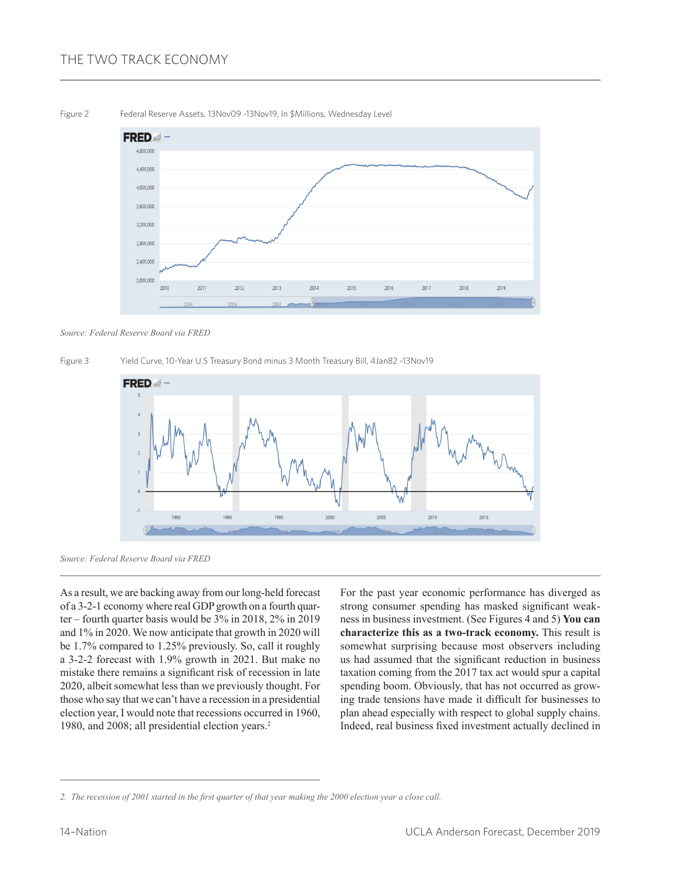## THE TWO TRACK ECONOMY



*Source: Federal Reserve Board via FRED*





*Source: Federal Reserve Board via FRED*

As a result, we are backing away from our long-held forecast of a 3-2-1 economy where real GDP growth on a fourth quarter – fourth quarter basis would be 3% in 2018, 2% in 2019 and 1% in 2020. We now anticipate that growth in 2020 will be 1.7% compared to 1.25% previously. So, call it roughly a 3-2-2 forecast with 1.9% growth in 2021. But make no mistake there remains a significant risk of recession in late 2020, albeit somewhat less than we previously thought. For those who say that we can't have a recession in a presidential election year, I would note that recessions occurred in 1960, 1980, and 2008; all presidential election years.<sup>2</sup>

For the past year economic performance has diverged as strong consumer spending has masked significant weakness in business investment. (See Figures 4 and 5) **You can characterize this as a two-track economy.** This result is somewhat surprising because most observers including us had assumed that the significant reduction in business taxation coming from the 2017 tax act would spur a capital spending boom. Obviously, that has not occurred as growing trade tensions have made it difficult for businesses to plan ahead especially with respect to global supply chains. Indeed, real business fixed investment actually declined in

*<sup>2.</sup> The recession of 2001 started in the first quarter of that year making the 2000 election year a close call.*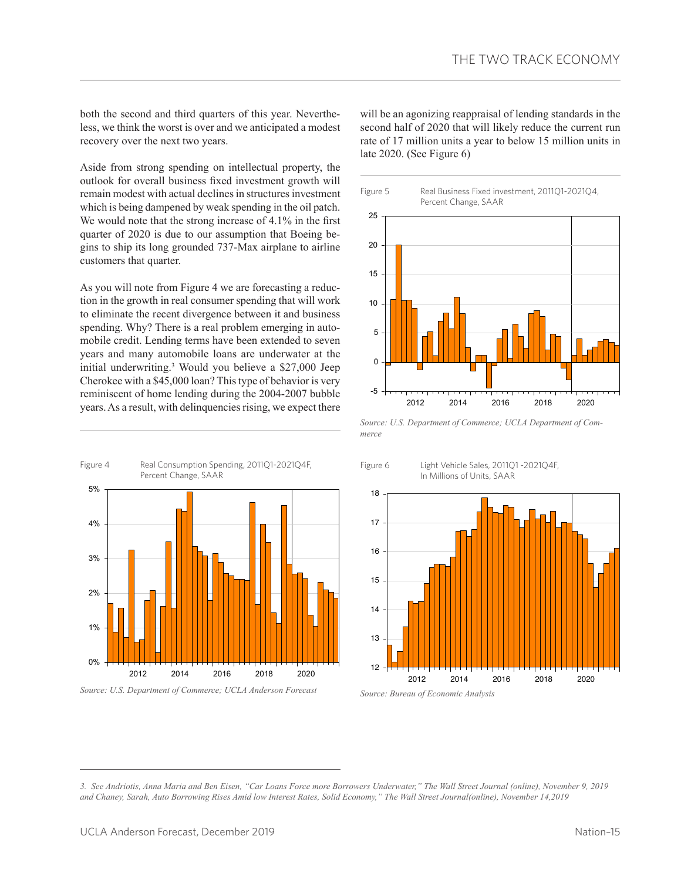both the second and third quarters of this year. Nevertheless, we think the worst is over and we anticipated a modest recovery over the next two years.

Aside from strong spending on intellectual property, the outlook for overall business fixed investment growth will remain modest with actual declines in structures investment which is being dampened by weak spending in the oil patch. We would note that the strong increase of 4.1% in the first quarter of 2020 is due to our assumption that Boeing begins to ship its long grounded 737-Max airplane to airline customers that quarter.

As you will note from Figure 4 we are forecasting a reduction in the growth in real consumer spending that will work to eliminate the recent divergence between it and business spending. Why? There is a real problem emerging in automobile credit. Lending terms have been extended to seven years and many automobile loans are underwater at the initial underwriting.3 Would you believe a \$27,000 Jeep Cherokee with a \$45,000 loan? This type of behavior is very reminiscent of home lending during the 2004-2007 bubble years. As a result, with delinquencies rising, we expect there



*Source: U.S. Department of Commerce; UCLA Anderson Forecast*

will be an agonizing reappraisal of lending standards in the second half of 2020 that will likely reduce the current run rate of 17 million units a year to below 15 million units in late 2020. (See Figure 6)



*Source: U.S. Department of Commerce; UCLA Department of Commerce*



*<sup>3.</sup> See Andriotis, Anna Maria and Ben Eisen, "Car Loans Force more Borrowers Underwater," The Wall Street Journal (online), November 9, 2019 and Chaney, Sarah, Auto Borrowing Rises Amid low Interest Rates, Solid Economy," The Wall Street Journal(online), November 14,2019*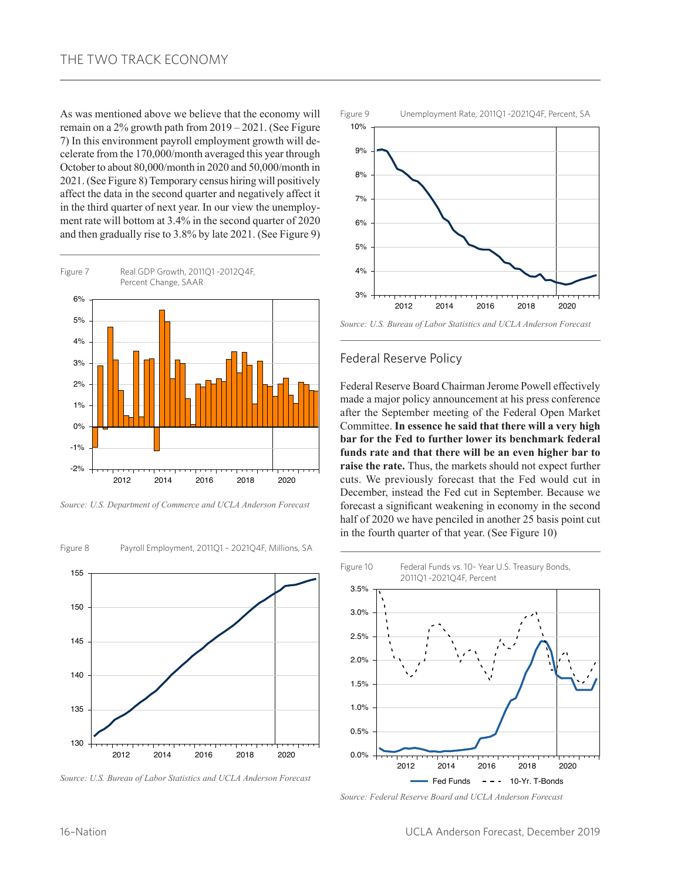As was mentioned above we believe that the economy will remain on a 2% growth path from 2019 – 2021. (See Figure 7) In this environment payroll employment growth will decelerate from the 170,000/month averaged this year through October to about 80,000/month in 2020 and 50,000/month in 2021. (See Figure 8) Temporary census hiring will positively affect the data in the second quarter and negatively affect it in the third quarter of next year. In our view the unemployment rate will bottom at 3.4% in the second quarter of 2020 and then gradually rise to 3.8% by late 2021. (See Figure 9)



*Source: U.S. Department of Commerce and UCLA Anderson Forecast*



Figure 8 Payroll Employment, 2011Q1 – 2021Q4F, Millions, SA

*Source: U.S. Bureau of Labor Statistics and UCLA Anderson Forecast*



*Source: U.S. Bureau of Labor Statistics and UCLA Anderson Forecast*

#### Federal Reserve Policy

Federal Reserve Board Chairman Jerome Powell effectively made a major policy announcement at his press conference after the September meeting of the Federal Open Market Committee. **In essence he said that there will a very high bar for the Fed to further lower its benchmark federal funds rate and that there will be an even higher bar to raise the rate.** Thus, the markets should not expect further cuts. We previously forecast that the Fed would cut in December, instead the Fed cut in September. Because we forecast a significant weakening in economy in the second half of 2020 we have penciled in another 25 basis point cut in the fourth quarter of that year. (See Figure 10)



*Source: Federal Reserve Board and UCLA Anderson Forecast*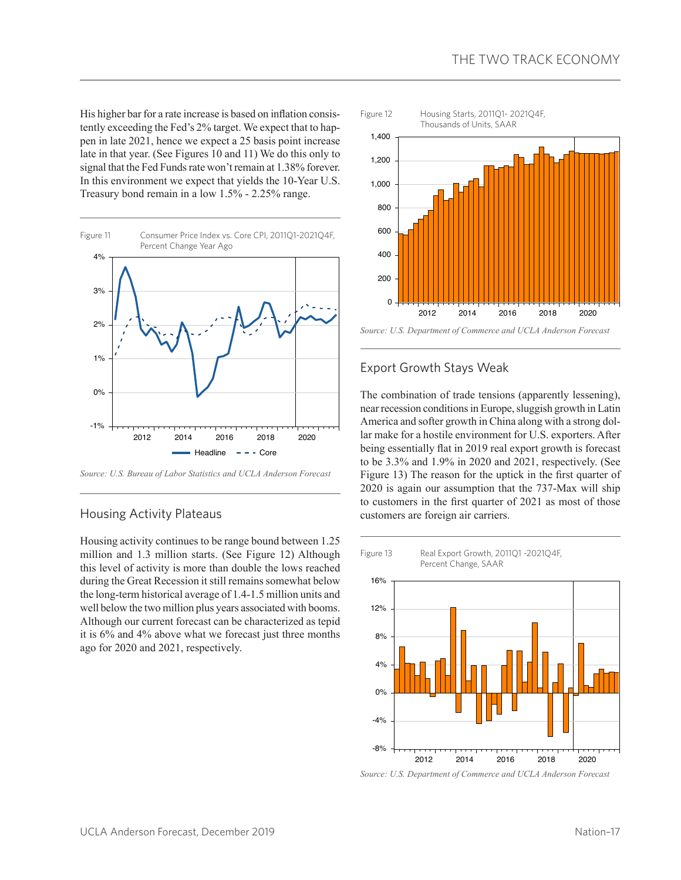His higher bar for a rate increase is based on inflation consistently exceeding the Fed's 2% target. We expect that to happen in late 2021, hence we expect a 25 basis point increase late in that year. (See Figures 10 and 11) We do this only to signal that the Fed Funds rate won't remain at 1.38% forever. In this environment we expect that yields the 10-Year U.S. Treasury bond remain in a low 1.5% - 2.25% range.



*Source: U.S. Bureau of Labor Statistics and UCLA Anderson Forecast*

#### Housing Activity Plateaus

Housing activity continues to be range bound between 1.25 million and 1.3 million starts. (See Figure 12) Although this level of activity is more than double the lows reached during the Great Recession it still remains somewhat below the long-term historical average of 1.4-1.5 million units and well below the two million plus years associated with booms. Although our current forecast can be characterized as tepid it is 6% and 4% above what we forecast just three months ago for 2020 and 2021, respectively.



### Export Growth Stays Weak

The combination of trade tensions (apparently lessening), near recession conditions in Europe, sluggish growth in Latin America and softer growth in China along with a strong dollar make for a hostile environment for U.S. exporters. After being essentially flat in 2019 real export growth is forecast to be 3.3% and 1.9% in 2020 and 2021, respectively. (See Figure 13) The reason for the uptick in the first quarter of 2020 is again our assumption that the 737-Max will ship to customers in the first quarter of 2021 as most of those customers are foreign air carriers.



*Source: U.S. Department of Commerce and UCLA Anderson Forecast*